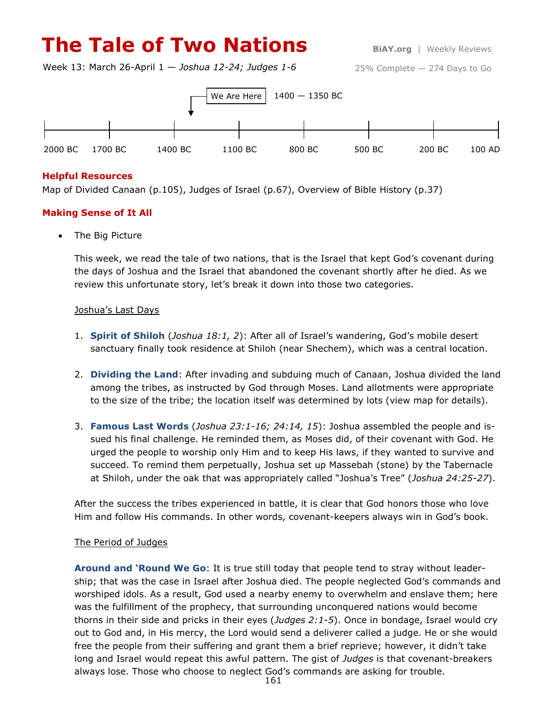# **The Tale of Two Nations BiAY.org** | Weekly Reviews

Week 13: March 26-April 1 — *Joshua 12-24; Judges 1-6*

25% Complete — 274 Days to Go



## **Helpful Resources**

Map of Divided Canaan (p.105), Judges of Israel (p.67), Overview of Bible History (p.37)

### **Making Sense of It All**

The Big Picture

This week, we read the tale of two nations, that is the Israel that kept God's covenant during the days of Joshua and the Israel that abandoned the covenant shortly after he died. As we review this unfortunate story, let's break it down into those two categories.

#### Joshua's Last Days

- 1. **Spirit of Shiloh** (*Joshua 18:1, 2*): After all of Israel's wandering, God's mobile desert sanctuary finally took residence at Shiloh (near Shechem), which was a central location.
- 2. **Dividing the Land**: After invading and subduing much of Canaan, Joshua divided the land among the tribes, as instructed by God through Moses. Land allotments were appropriate to the size of the tribe; the location itself was determined by lots (view map for details).
- 3. **Famous Last Words** (*Joshua 23:1-16; 24:14, 15*): Joshua assembled the people and issued his final challenge. He reminded them, as Moses did, of their covenant with God. He urged the people to worship only Him and to keep His laws, if they wanted to survive and succeed. To remind them perpetually, Joshua set up Massebah (stone) by the Tabernacle at Shiloh, under the oak that was appropriately called "Joshua's Tree" (*Joshua 24:25-27*).

After the success the tribes experienced in battle, it is clear that God honors those who love Him and follow His commands. In other words, covenant-keepers always win in God's book.

## The Period of Judges

**Around and 'Round We Go**: It is true still today that people tend to stray without leadership; that was the case in Israel after Joshua died. The people neglected God's commands and worshiped idols. As a result, God used a nearby enemy to overwhelm and enslave them; here was the fulfillment of the prophecy, that surrounding unconquered nations would become thorns in their side and pricks in their eyes (*Judges 2:1-5*). Once in bondage, Israel would cry out to God and, in His mercy, the Lord would send a deliverer called a judge. He or she would free the people from their suffering and grant them a brief reprieve; however, it didn't take long and Israel would repeat this awful pattern. The gist of *Judges* is that covenant-breakers always lose. Those who choose to neglect God's commands are asking for trouble.